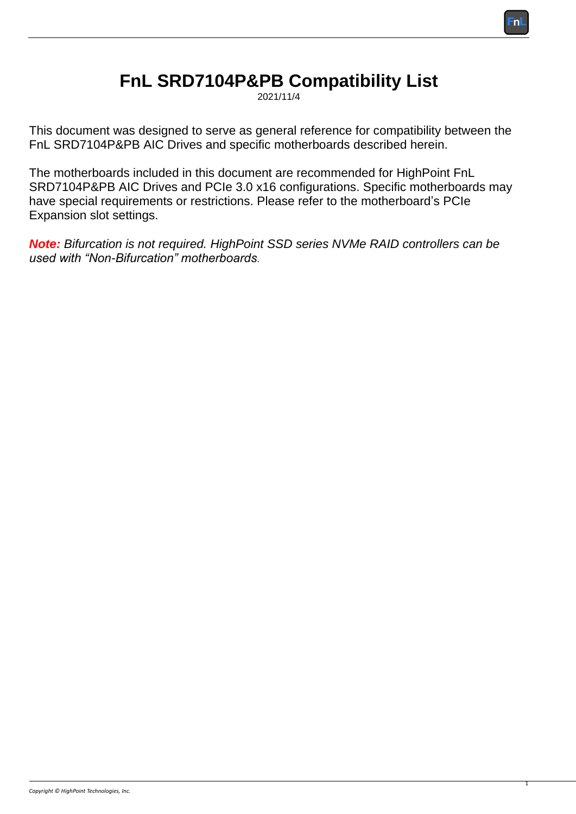*Copyright © HighPoint Technologies, Inc.* 

1

## **FnL SRD7104P&PB Compatibility List**

2021/11/4

This document was designed to serve as general reference for compatibility between the FnL SRD7104P&PB AIC Drives and specific motherboards described herein.

The motherboards included in this document are recommended for HighPoint FnL SRD7104P&PB AIC Drives and PCIe 3.0 x16 configurations. Specific motherboards may have special requirements or restrictions. Please refer to the motherboard's PCIe Expansion slot settings.

*Note: Bifurcation is not required. HighPoint SSD series NVMe RAID controllers can be used with "Non-Bifurcation" motherboards*.

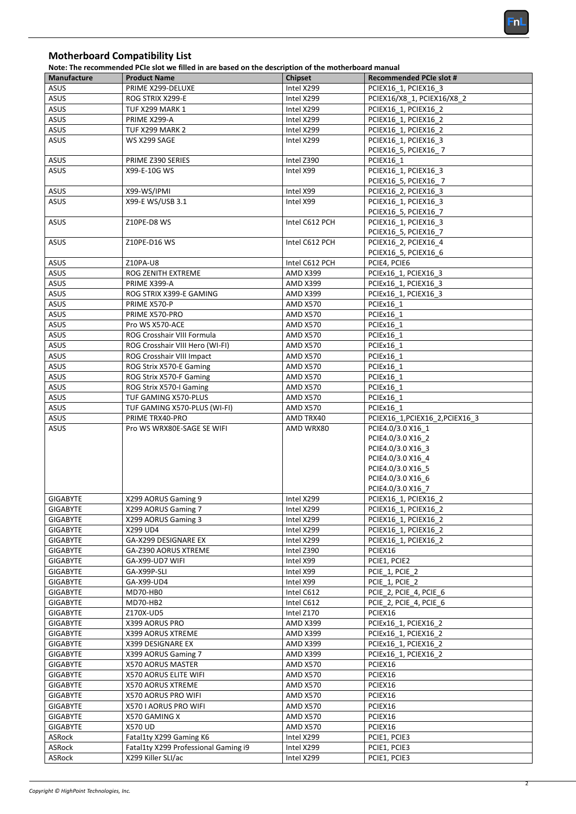2

**Note: The recommended PCIe slot we filled in are based on the description of the motherboard manual**

| <b>Manufacture</b> | <b>Product Name</b>                                             | <b>Chipset</b>           | <b>Recommended PCIe slot #</b>               |
|--------------------|-----------------------------------------------------------------|--------------------------|----------------------------------------------|
| <b>ASUS</b>        | PRIME X299-DELUXE                                               | Intel X299               | PCIEX16 1, PCIEX16 3                         |
| <b>ASUS</b>        | ROG STRIX X299-E                                                | Intel X299               | PCIEX16/X8 1, PCIEX16/X8 2                   |
| <b>ASUS</b>        | <b>TUF X299 MARK 1</b>                                          | Intel X299               | PCIEX16 1, PCIEX16 2                         |
| <b>ASUS</b>        | PRIME X299-A                                                    | Intel X299               | PCIEX16 1, PCIEX16 2                         |
| <b>ASUS</b>        | <b>TUF X299 MARK 2</b>                                          | Intel X299               | PCIEX16 1, PCIEX16 2                         |
| <b>ASUS</b>        | WS X299 SAGE                                                    | Intel X299               | PCIEX16 1, PCIEX16 3                         |
|                    |                                                                 |                          | PCIEX16_5, PCIEX16_7                         |
| <b>ASUS</b>        | PRIME Z390 SERIES                                               | Intel Z390               | PCIEX16 1                                    |
| <b>ASUS</b>        | X99-E-10G WS                                                    | Intel X99                | PCIEX16_1, PCIEX16_3                         |
|                    |                                                                 |                          | PCIEX16_5, PCIEX16_7                         |
| <b>ASUS</b>        | X99-WS/IPMI                                                     | Intel X99                | PCIEX16 2, PCIEX16 3                         |
| <b>ASUS</b>        | X99-E WS/USB 3.1                                                | Intel X99                | PCIEX16 1, PCIEX16 3                         |
|                    |                                                                 |                          | PCIEX16 5, PCIEX16 7                         |
| <b>ASUS</b>        | Z10PE-D8 WS                                                     | Intel C612 PCH           | PCIEX16 1, PCIEX16 3                         |
| <b>ASUS</b>        | Z10PE-D16 WS                                                    | Intel C612 PCH           | PCIEX16 5, PCIEX16 7<br>PCIEX16 2, PCIEX16 4 |
|                    |                                                                 |                          | PCIEX16_5, PCIEX16 6                         |
| <b>ASUS</b>        | Z10PA-U8                                                        | Intel C612 PCH           | PCIE4, PCIE6                                 |
| <b>ASUS</b>        | ROG ZENITH EXTREME                                              | <b>AMD X399</b>          | PCIEx16 1, PCIEX16 3                         |
| <b>ASUS</b>        | PRIME X399-A                                                    | <b>AMD X399</b>          | PCIEx16 1, PCIEX16 3                         |
| <b>ASUS</b>        | ROG STRIX X399-E GAMING                                         | <b>AMD X399</b>          | PCIEx16 1, PCIEX16 3                         |
| <b>ASUS</b>        | PRIME X570-P                                                    | <b>AMD X570</b>          | PCIEx16 1                                    |
| <b>ASUS</b>        | PRIME X570-PRO                                                  | <b>AMD X570</b>          | PCIEx16 1                                    |
| <b>ASUS</b>        | Pro WS X570-ACE                                                 | <b>AMD X570</b>          | PCIEx16 1                                    |
| <b>ASUS</b>        | ROG Crosshair VIII Formula                                      | <b>AMD X570</b>          | PCIEx16 1                                    |
| <b>ASUS</b>        | ROG Crosshair VIII Hero (WI-FI)                                 | <b>AMD X570</b>          | PCIEx16 1                                    |
| <b>ASUS</b>        | ROG Crosshair VIII Impact                                       | <b>AMD X570</b>          | PCIEx16 1                                    |
| <b>ASUS</b>        | ROG Strix X570-E Gaming                                         | <b>AMD X570</b>          | PCIEx16 1                                    |
| <b>ASUS</b>        | ROG Strix X570-F Gaming                                         | <b>AMD X570</b>          | PCIEx16_1                                    |
| <b>ASUS</b>        | ROG Strix X570-I Gaming                                         | <b>AMD X570</b>          | PCIEx16 1                                    |
| <b>ASUS</b>        | TUF GAMING X570-PLUS                                            | <b>AMD X570</b>          | PCIEx16 1                                    |
| <b>ASUS</b>        | TUF GAMING X570-PLUS (WI-FI)                                    | <b>AMD X570</b>          | PCIEx16 1                                    |
| <b>ASUS</b>        | PRIME TRX40-PRO                                                 | AMD TRX40                | PCIEX16_1, PCIEX16_2, PCIEX16_3              |
| <b>ASUS</b>        | Pro WS WRX80E-SAGE SE WIFI                                      | AMD WRX80                | PCIE4.0/3.0 X16 1                            |
|                    |                                                                 |                          | PCIE4.0/3.0 X16 2                            |
|                    |                                                                 |                          | PCIE4.0/3.0 X16 3                            |
|                    |                                                                 |                          | PCIE4.0/3.0 X16 4                            |
|                    |                                                                 |                          | PCIE4.0/3.0 X16 5                            |
|                    |                                                                 |                          | PCIE4.0/3.0 X16 6                            |
| <b>GIGABYTE</b>    | X299 AORUS Gaming 9                                             | Intel X299               | PCIE4.0/3.0 X16 7<br>PCIEX16 1, PCIEX16 2    |
| <b>GIGABYTE</b>    | X299 AORUS Gaming 7                                             | Intel X299               | PCIEX16 1, PCIEX16 2                         |
| <b>GIGABYTE</b>    | X299 AORUS Gaming 3                                             | Intel X299               | PCIEX16_1, PCIEX16_2                         |
| <b>GIGABYTE</b>    | X299 UD4                                                        | Intel X299               | PCIEX16 1, PCIEX16 2                         |
| <b>GIGABYTE</b>    | GA-X299 DESIGNARE EX                                            | Intel X299               | PCIEX16 1, PCIEX16 2                         |
| <b>GIGABYTE</b>    | GA-Z390 AORUS XTREME                                            | Intel Z390               | PCIEX16                                      |
| <b>GIGABYTE</b>    | GA-X99-UD7 WIFI                                                 | Intel X99                | PCIE1, PCIE2                                 |
| <b>GIGABYTE</b>    | GA-X99P-SLI                                                     | Intel X99                | PCIE_1, PCIE_2                               |
| <b>GIGABYTE</b>    | GA-X99-UD4                                                      | Intel X99                | PCIE 1, PCIE 2                               |
| <b>GIGABYTE</b>    | <b>MD70-HB0</b>                                                 | Intel C612               | PCIE 2, PCIE 4, PCIE 6                       |
| <b>GIGABYTE</b>    | <b>MD70-HB2</b>                                                 | Intel C612               | PCIE_2, PCIE_4, PCIE_6                       |
| <b>GIGABYTE</b>    | Z170X-UD5                                                       | Intel Z170               | PCIEX16                                      |
| <b>GIGABYTE</b>    | X399 AORUS PRO                                                  | <b>AMD X399</b>          | PCIEx16 1, PCIEX16 2                         |
| <b>GIGABYTE</b>    | <b>X399 AORUS XTREME</b>                                        | <b>AMD X399</b>          | PCIEx16 1, PCIEX16 2                         |
| <b>GIGABYTE</b>    | X399 DESIGNARE EX                                               | <b>AMD X399</b>          | PCIEx16_1, PCIEX16_2                         |
| <b>GIGABYTE</b>    | X399 AORUS Gaming 7                                             | <b>AMD X399</b>          | PCIEx16 1, PCIEX16 2                         |
| <b>GIGABYTE</b>    | <b>X570 AORUS MASTER</b>                                        | <b>AMD X570</b>          | PCIEX16                                      |
| <b>GIGABYTE</b>    | <b>X570 AORUS ELITE WIFI</b>                                    | <b>AMD X570</b>          | PCIEX16                                      |
| <b>GIGABYTE</b>    | <b>X570 AORUS XTREME</b>                                        | <b>AMD X570</b>          | PCIEX16                                      |
| <b>GIGABYTE</b>    | X570 AORUS PRO WIFI                                             | <b>AMD X570</b>          | PCIEX16                                      |
| <b>GIGABYTE</b>    | X570 I AORUS PRO WIFI                                           | <b>AMD X570</b>          | PCIEX16                                      |
| <b>GIGABYTE</b>    | X570 GAMING X                                                   | <b>AMD X570</b>          | PCIEX16                                      |
| <b>GIGABYTE</b>    | <b>X570 UD</b>                                                  | <b>AMD X570</b>          | PCIEX16                                      |
| ASRock             | Fatal1ty X299 Gaming K6<br>Fatal1ty X299 Professional Gaming i9 | Intel X299               | PCIE1, PCIE3                                 |
| ASRock<br>ASRock   | X299 Killer SLI/ac                                              | Intel X299<br>Intel X299 | PCIE1, PCIE3<br>PCIE1, PCIE3                 |
|                    |                                                                 |                          |                                              |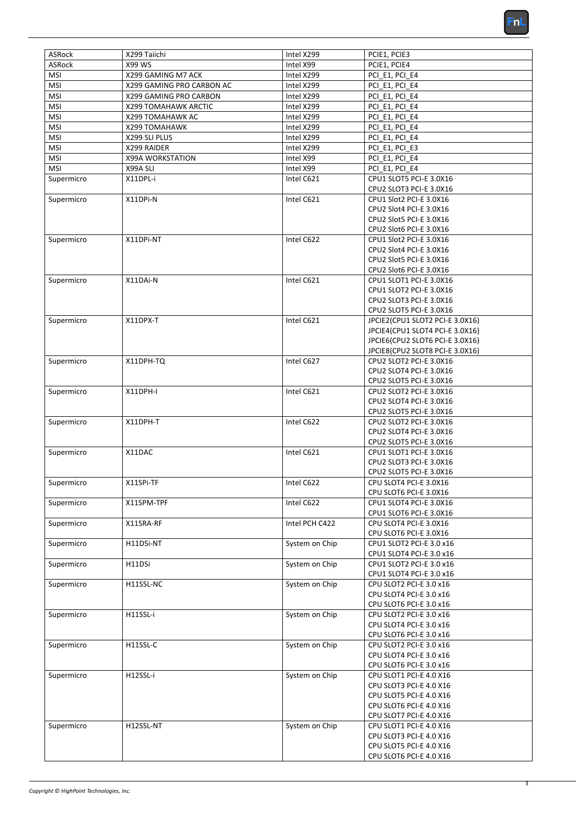| <b>ASRock</b>            | X299 Taiichi                 | Intel X299               | PCIE1, PCIE3                                                       |
|--------------------------|------------------------------|--------------------------|--------------------------------------------------------------------|
| <b>ASRock</b>            | <b>X99 WS</b>                | Intel X99                | PCIE1, PCIE4                                                       |
| <b>MSI</b>               | X299 GAMING M7 ACK           | Intel X299               | PCI E1, PCI E4                                                     |
| <b>MSI</b>               | X299 GAMING PRO CARBON AC    | Intel X299               | PCI E1, PCI E4                                                     |
| <b>MSI</b>               | X299 GAMING PRO CARBON       | Intel X299               | PCI E1, PCI E4                                                     |
| <b>MSI</b>               | X299 TOMAHAWK ARCTIC         | Intel X299               | PCI E1, PCI E4                                                     |
| <b>MSI</b>               | X299 TOMAHAWK AC             | Intel X299               | PCI E1, PCI E4                                                     |
| <b>MSI</b>               | <b>X299 TOMAHAWK</b>         | Intel X299               | PCI E1, PCI E4                                                     |
| <b>MSI</b><br><b>MSI</b> | X299 SLI PLUS<br>X299 RAIDER | Intel X299<br>Intel X299 | PCI E1, PCI E4<br>PCI E1, PCI E3                                   |
| <b>MSI</b>               | <b>X99A WORKSTATION</b>      | Intel X99                | PCI E1, PCI E4                                                     |
| <b>MSI</b>               | X99A SLI                     | Intel X99                | PCI E1, PCI E4                                                     |
| Supermicro               | X11DPL-i                     | Intel C621               | CPU1 SLOT5 PCI-E 3.0X16                                            |
|                          |                              |                          | CPU2 SLOT3 PCI-E 3.0X16                                            |
| Supermicro               | X11DPi-N                     | Intel C621               | CPU1 Slot2 PCI-E 3.0X16                                            |
|                          |                              |                          | CPU2 Slot4 PCI-E 3.0X16                                            |
|                          |                              |                          | CPU2 Slot5 PCI-E 3.0X16                                            |
|                          |                              |                          | CPU2 Slot6 PCI-E 3.0X16                                            |
| Supermicro               | X11DPi-NT                    | Intel C622               | CPU1 Slot2 PCI-E 3.0X16<br>CPU2 Slot4 PCI-E 3.0X16                 |
|                          |                              |                          | CPU2 Slot5 PCI-E 3.0X16                                            |
|                          |                              |                          | CPU2 Slot6 PCI-E 3.0X16                                            |
| Supermicro               | X11DAi-N                     | Intel C621               | CPU1 SLOT1 PCI-E 3.0X16                                            |
|                          |                              |                          | CPU1 SLOT2 PCI-E 3.0X16                                            |
|                          |                              |                          | CPU2 SLOT3 PCI-E 3.0X16                                            |
|                          |                              |                          | CPU2 SLOT5 PCI-E 3.0X16                                            |
| Supermicro               | X11DPX-T                     | Intel C621               | JPCIE2(CPU1 SLOT2 PCI-E 3.0X16)                                    |
|                          |                              |                          | JPCIE4(CPU1 SLOT4 PCI-E 3.0X16)<br>JPCIE6(CPU2 SLOT6 PCI-E 3.0X16) |
|                          |                              |                          | JPCIE8(CPU2 SLOT8 PCI-E 3.0X16)                                    |
| Supermicro               | X11DPH-TQ                    | Intel C627               | CPU2 SLOT2 PCI-E 3.0X16                                            |
|                          |                              |                          | CPU2 SLOT4 PCI-E 3.0X16                                            |
|                          |                              |                          | CPU2 SLOT5 PCI-E 3.0X16                                            |
| Supermicro               | X11DPH-I                     | Intel C621               | CPU2 SLOT2 PCI-E 3.0X16                                            |
|                          |                              |                          | CPU2 SLOT4 PCI-E 3.0X16                                            |
|                          |                              |                          | CPU2 SLOT5 PCI-E 3.0X16                                            |
| Supermicro               | X11DPH-T                     | Intel C622               | CPU2 SLOT2 PCI-E 3.0X16                                            |
|                          |                              |                          | CPU2 SLOT4 PCI-E 3.0X16<br>CPU2 SLOT5 PCI-E 3.0X16                 |
| Supermicro               | X11DAC                       | Intel C621               | CPU1 SLOT1 PCI-E 3.0X16                                            |
|                          |                              |                          | CPU2 SLOT3 PCI-E 3.0X16                                            |
|                          |                              |                          | CPU2 SLOT5 PCI-E 3.0X16                                            |
| Supermicro               | X11SPi-TF                    | Intel C622               | CPU SLOT4 PCI-E 3.0X16                                             |
|                          |                              |                          | CPU SLOT6 PCI-E 3.0X16                                             |
| Supermicro               | X11SPM-TPF                   | Intel C622               | CPU1 SLOT4 PCI-E 3.0X16                                            |
|                          |                              |                          | CPU1 SLOT6 PCI-E 3.0X16                                            |
| Supermicro               | X11SRA-RF                    | Intel PCH C422           | CPU SLOT4 PCI-E 3.0X16<br>CPU SLOT6 PCI-E 3.0X16                   |
|                          | H11DSi-NT                    | System on Chip           | CPU1 SLOT2 PCI-E 3.0 x16                                           |
| Supermicro               |                              |                          | CPU1 SLOT4 PCI-E 3.0 x16                                           |
| Supermicro               | H11DSi                       | System on Chip           | CPU1 SLOT2 PCI-E 3.0 x16                                           |
|                          |                              |                          | CPU1 SLOT4 PCI-E 3.0 x16                                           |
| Supermicro               | H11SSL-NC                    | System on Chip           | CPU SLOT2 PCI-E 3.0 x16                                            |
|                          |                              |                          | CPU SLOT4 PCI-E 3.0 x16                                            |
|                          |                              |                          | CPU SLOT6 PCI-E 3.0 x16                                            |
| Supermicro               | H11SSL-i                     | System on Chip           | CPU SLOT2 PCI-E 3.0 x16                                            |
|                          |                              |                          | CPU SLOT4 PCI-E 3.0 x16<br>CPU SLOT6 PCI-E 3.0 x16                 |
| Supermicro               | H11SSL-C                     | System on Chip           | CPU SLOT2 PCI-E 3.0 x16                                            |
|                          |                              |                          | CPU SLOT4 PCI-E 3.0 x16                                            |
|                          |                              |                          | CPU SLOT6 PCI-E 3.0 x16                                            |
| Supermicro               | H12SSL-i                     | System on Chip           | CPU SLOT1 PCI-E 4.0 X16                                            |
|                          |                              |                          | CPU SLOT3 PCI-E 4.0 X16                                            |
|                          |                              |                          | CPU SLOT5 PCI-E 4.0 X16                                            |
|                          |                              |                          | CPU SLOT6 PCI-E 4.0 X16                                            |
|                          |                              |                          | CPU SLOT7 PCI-E 4.0 X16                                            |
| Supermicro               | H12SSL-NT                    | System on Chip           | CPU SLOT1 PCI-E 4.0 X16                                            |
|                          |                              |                          | CPU SLOT3 PCI-E 4.0 X16<br>CPU SLOT5 PCI-E 4.0 X16                 |
|                          |                              |                          | CPU SLOT6 PCI-E 4.0 X16                                            |
|                          |                              |                          |                                                                    |